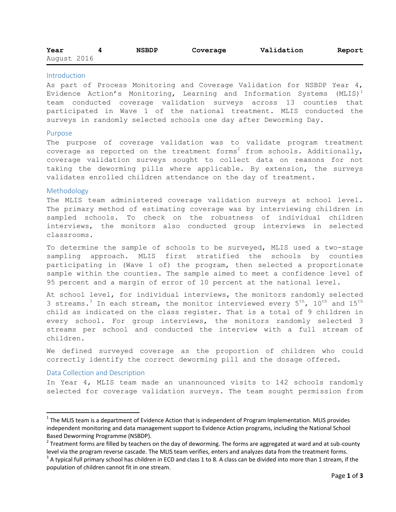| Year        | <b>NSBDP</b> | Coverage | Validation | Report |
|-------------|--------------|----------|------------|--------|
| August 2016 |              |          |            |        |

## Introduction

As part of Process Monitoring and Coverage Validation for NSBDP Year 4, Evidence Action's Monitoring, Learning and Information Systems  $(MLIS)^1$ team conducted coverage validation surveys across 13 counties that participated in Wave 1 of the national treatment. MLIS conducted the surveys in randomly selected schools one day after Deworming Day.

#### Purpose

The purpose of coverage validation was to validate program treatment coverage as reported on the treatment forms<sup>2</sup> from schools. Additionally, coverage validation surveys sought to collect data on reasons for not taking the deworming pills where applicable. By extension, the surveys validates enrolled children attendance on the day of treatment.

## Methodology

The MLIS team administered coverage validation surveys at school level. The primary method of estimating coverage was by interviewing children in sampled schools. To check on the robustness of individual children interviews, the monitors also conducted group interviews in selected classrooms.

To determine the sample of schools to be surveyed, MLIS used a two-stage sampling approach. MLIS first stratified the schools by counties participating in (Wave 1 of) the program, then selected a proportionate sample within the counties. The sample aimed to meet a confidence level of 95 percent and a margin of error of 10 percent at the national level.

At school level, for individual interviews, the monitors randomly selected 3 streams.<sup>3</sup> In each stream, the monitor interviewed every  $5^{\text{th}}$ ,  $10^{\text{th}}$  and  $15^{\text{th}}$ child as indicated on the class register. That is a total of 9 children in every school. For group interviews, the monitors randomly selected 3 streams per school and conducted the interview with a full stream of children.

We defined surveyed coverage as the proportion of children who could correctly identify the correct deworming pill and the dosage offered.

## Data Collection and Description

 $\overline{\phantom{a}}$ 

In Year 4, MLIS team made an unannounced visits to 142 schools randomly selected for coverage validation surveys. The team sought permission from

 $1$  The MLIS team is a department of Evidence Action that is independent of Program Implementation. MLIS provides independent monitoring and data management support to Evidence Action programs, including the National School Based Deworming Programme (NSBDP).

 $^2$  Treatment forms are filled by teachers on the day of deworming. The forms are aggregated at ward and at sub-county level via the program reverse cascade. The MLIS team verifies, enters and analyzes data from the treatment forms.

 $3$  A typical full primary school has children in ECD and class 1 to 8. A class can be divided into more than 1 stream, if the population of children cannot fit in one stream.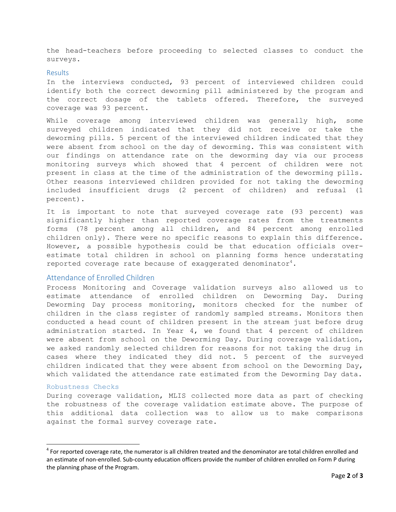the head-teachers before proceeding to selected classes to conduct the surveys.

### Results

In the interviews conducted, 93 percent of interviewed children could identify both the correct deworming pill administered by the program and the correct dosage of the tablets offered. Therefore, the surveyed coverage was 93 percent.

While coverage among interviewed children was generally high, some surveyed children indicated that they did not receive or take the deworming pills. 5 percent of the interviewed children indicated that they were absent from school on the day of deworming. This was consistent with our findings on attendance rate on the deworming day via our process monitoring surveys which showed that 4 percent of children were not present in class at the time of the administration of the deworming pills. Other reasons interviewed children provided for not taking the deworming included insufficient drugs (2 percent of children) and refusal (1 percent).

It is important to note that surveyed coverage rate (93 percent) was significantly higher than reported coverage rates from the treatments forms (78 percent among all children, and 84 percent among enrolled children only). There were no specific reasons to explain this difference. However, a possible hypothesis could be that education officials overestimate total children in school on planning forms hence understating reported coverage rate because of exaggerated denominator<sup>4</sup>.

# Attendance of Enrolled Children

Process Monitoring and Coverage validation surveys also allowed us to estimate attendance of enrolled children on Deworming Day. During Deworming Day process monitoring, monitors checked for the number of children in the class register of randomly sampled streams. Monitors then conducted a head count of children present in the stream just before drug administration started. In Year 4, we found that 4 percent of children were absent from school on the Deworming Day. During coverage validation, we asked randomly selected children for reasons for not taking the drug in cases where they indicated they did not. 5 percent of the surveyed children indicated that they were absent from school on the Deworming Day, which validated the attendance rate estimated from the Deworming Day data.

#### Robustness Checks

 $\overline{a}$ 

During coverage validation, MLIS collected more data as part of checking the robustness of the coverage validation estimate above. The purpose of this additional data collection was to allow us to make comparisons against the formal survey coverage rate.

 $4$  For reported coverage rate, the numerator is all children treated and the denominator are total children enrolled and an estimate of non-enrolled. Sub-county education officers provide the number of children enrolled on Form P during the planning phase of the Program.